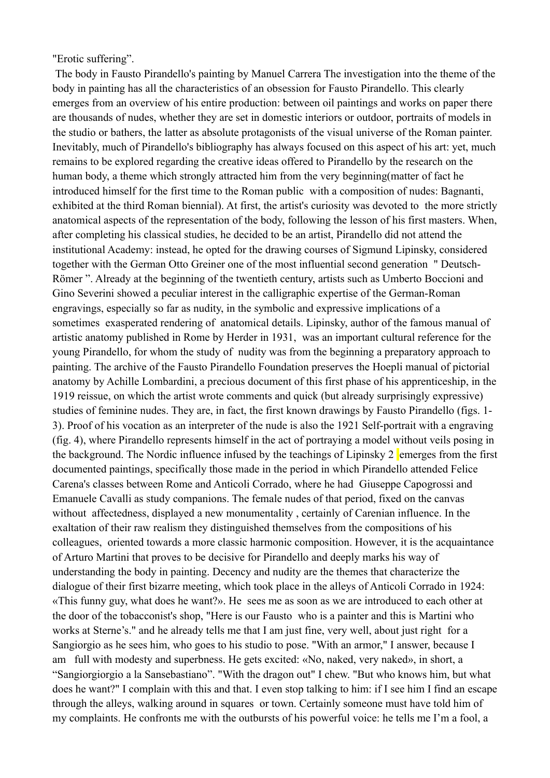"Erotic suffering".

The body in Fausto Pirandello's painting by Manuel Carrera The investigation into the theme of the body in painting has all the characteristics of an obsession for Fausto Pirandello. This clearly emerges from an overview of his entire production: between oil paintings and works on paper there are thousands of nudes, whether they are set in domestic interiors or outdoor, portraits of models in the studio or bathers, the latter as absolute protagonists of the visual universe of the Roman painter. Inevitably, much of Pirandello's bibliography has always focused on this aspect of his art: yet, much remains to be explored regarding the creative ideas offered to Pirandello by the research on the human body, a theme which strongly attracted him from the very beginning(matter of fact he introduced himself for the first time to the Roman public with a composition of nudes: Bagnanti, exhibited at the third Roman biennial). At first, the artist's curiosity was devoted to the more strictly anatomical aspects of the representation of the body, following the lesson of his first masters. When, after completing his classical studies, he decided to be an artist, Pirandello did not attend the institutional Academy: instead, he opted for the drawing courses of Sigmund Lipinsky, considered together with the German Otto Greiner one of the most influential second generation " Deutsch-Römer ". Already at the beginning of the twentieth century, artists such as Umberto Boccioni and Gino Severini showed a peculiar interest in the calligraphic expertise of the German-Roman engravings, especially so far as nudity, in the symbolic and expressive implications of a sometimes exasperated rendering of anatomical details. Lipinsky, author of the famous manual of artistic anatomy published in Rome by Herder in 1931, was an important cultural reference for the young Pirandello, for whom the study of nudity was from the beginning a preparatory approach to painting. The archive of the Fausto Pirandello Foundation preserves the Hoepli manual of pictorial anatomy by Achille Lombardini, a precious document of this first phase of his apprenticeship, in the 1919 reissue, on which the artist wrote comments and quick (but already surprisingly expressive) studies of feminine nudes. They are, in fact, the first known drawings by Fausto Pirandello (figs. 1- 3). Proof of his vocation as an interpreter of the nude is also the 1921 Self-portrait with a engraving (fig. 4), where Pirandello represents himself in the act of portraying a model without veils posing in the background. The Nordic influence infused by the teachings of Lipinsky  $2$  emerges from the first documented paintings, specifically those made in the period in which Pirandello attended Felice Carena's classes between Rome and Anticoli Corrado, where he had Giuseppe Capogrossi and Emanuele Cavalli as study companions. The female nudes of that period, fixed on the canvas without affectedness, displayed a new monumentality , certainly of Carenian influence. In the exaltation of their raw realism they distinguished themselves from the compositions of his colleagues, oriented towards a more classic harmonic composition. However, it is the acquaintance of Arturo Martini that proves to be decisive for Pirandello and deeply marks his way of understanding the body in painting. Decency and nudity are the themes that characterize the dialogue of their first bizarre meeting, which took place in the alleys of Anticoli Corrado in 1924: «This funny guy, what does he want?». He sees me as soon as we are introduced to each other at the door of the tobacconist's shop, "Here is our Fausto who is a painter and this is Martini who works at Sterne's." and he already tells me that I am just fine, very well, about just right for a Sangiorgio as he sees him, who goes to his studio to pose. "With an armor," I answer, because I am full with modesty and superbness. He gets excited: «No, naked, very naked», in short, a "Sangiorgiorgio a la Sansebastiano". "With the dragon out" I chew. "But who knows him, but what does he want?" I complain with this and that. I even stop talking to him: if I see him I find an escape through the alleys, walking around in squares or town. Certainly someone must have told him of my complaints. He confronts me with the outbursts of his powerful voice: he tells me I'm a fool, a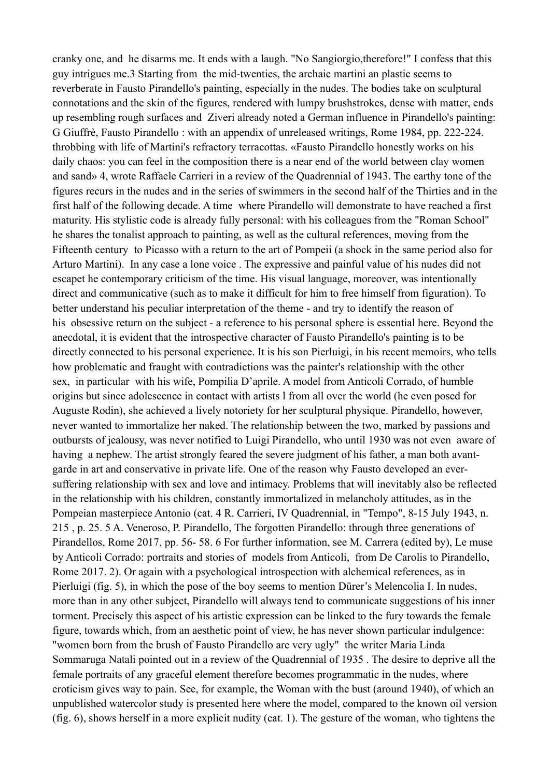cranky one, and he disarms me. It ends with a laugh. "No Sangiorgio,therefore!" I confess that this guy intrigues me.3 Starting from the mid-twenties, the archaic martini an plastic seems to reverberate in Fausto Pirandello's painting, especially in the nudes. The bodies take on sculptural connotations and the skin of the figures, rendered with lumpy brushstrokes, dense with matter, ends up resembling rough surfaces and Ziveri already noted a German influence in Pirandello's painting: G Giuffrè, Fausto Pirandello : with an appendix of unreleased writings, Rome 1984, pp. 222-224. throbbing with life of Martini's refractory terracottas. «Fausto Pirandello honestly works on his daily chaos: you can feel in the composition there is a near end of the world between clay women and sand» 4, wrote Raffaele Carrieri in a review of the Quadrennial of 1943. The earthy tone of the figures recurs in the nudes and in the series of swimmers in the second half of the Thirties and in the first half of the following decade. A time where Pirandello will demonstrate to have reached a first maturity. His stylistic code is already fully personal: with his colleagues from the "Roman School" he shares the tonalist approach to painting, as well as the cultural references, moving from the Fifteenth century to Picasso with a return to the art of Pompeii (a shock in the same period also for Arturo Martini). In any case a lone voice . The expressive and painful value of his nudes did not escapet he contemporary criticism of the time. His visual language, moreover, was intentionally direct and communicative (such as to make it difficult for him to free himself from figuration). To better understand his peculiar interpretation of the theme - and try to identify the reason of his obsessive return on the subject - a reference to his personal sphere is essential here. Beyond the anecdotal, it is evident that the introspective character of Fausto Pirandello's painting is to be directly connected to his personal experience. It is his son Pierluigi, in his recent memoirs, who tells how problematic and fraught with contradictions was the painter's relationship with the other sex, in particular with his wife, Pompilia D'aprile. A model from Anticoli Corrado, of humble origins but since adolescence in contact with artists l from all over the world (he even posed for Auguste Rodin), she achieved a lively notoriety for her sculptural physique. Pirandello, however, never wanted to immortalize her naked. The relationship between the two, marked by passions and outbursts of jealousy, was never notified to Luigi Pirandello, who until 1930 was not even aware of having a nephew. The artist strongly feared the severe judgment of his father, a man both avantgarde in art and conservative in private life. One of the reason why Fausto developed an eversuffering relationship with sex and love and intimacy. Problems that will inevitably also be reflected in the relationship with his children, constantly immortalized in melancholy attitudes, as in the Pompeian masterpiece Antonio (cat. 4 R. Carrieri, IV Quadrennial, in "Tempo", 8-15 July 1943, n. 215 , p. 25. 5 A. Veneroso, P. Pirandello, The forgotten Pirandello: through three generations of Pirandellos, Rome 2017, pp. 56- 58. 6 For further information, see M. Carrera (edited by), Le muse by Anticoli Corrado: portraits and stories of models from Anticoli, from De Carolis to Pirandello, Rome 2017. 2). Or again with a psychological introspection with alchemical references, as in Pierluigi (fig. 5), in which the pose of the boy seems to mention Dürer's Melencolia I. In nudes, more than in any other subject, Pirandello will always tend to communicate suggestions of his inner torment. Precisely this aspect of his artistic expression can be linked to the fury towards the female figure, towards which, from an aesthetic point of view, he has never shown particular indulgence: "women born from the brush of Fausto Pirandello are very ugly" the writer Maria Linda Sommaruga Natali pointed out in a review of the Quadrennial of 1935 . The desire to deprive all the female portraits of any graceful element therefore becomes programmatic in the nudes, where eroticism gives way to pain. See, for example, the Woman with the bust (around 1940), of which an unpublished watercolor study is presented here where the model, compared to the known oil version (fig. 6), shows herself in a more explicit nudity (cat. 1). The gesture of the woman, who tightens the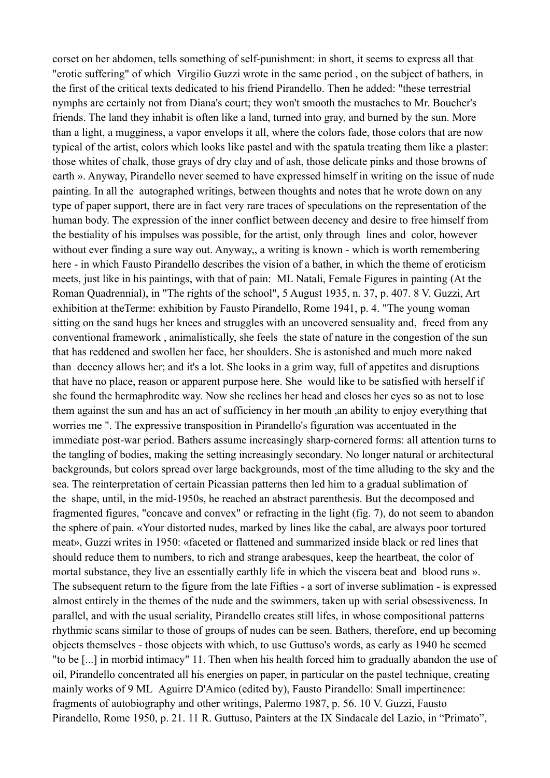corset on her abdomen, tells something of self-punishment: in short, it seems to express all that "erotic suffering" of which Virgilio Guzzi wrote in the same period , on the subject of bathers, in the first of the critical texts dedicated to his friend Pirandello. Then he added: "these terrestrial nymphs are certainly not from Diana's court; they won't smooth the mustaches to Mr. Boucher's friends. The land they inhabit is often like a land, turned into gray, and burned by the sun. More than a light, a mugginess, a vapor envelops it all, where the colors fade, those colors that are now typical of the artist, colors which looks like pastel and with the spatula treating them like a plaster: those whites of chalk, those grays of dry clay and of ash, those delicate pinks and those browns of earth ». Anyway, Pirandello never seemed to have expressed himself in writing on the issue of nude painting. In all the autographed writings, between thoughts and notes that he wrote down on any type of paper support, there are in fact very rare traces of speculations on the representation of the human body. The expression of the inner conflict between decency and desire to free himself from the bestiality of his impulses was possible, for the artist, only through lines and color, however without ever finding a sure way out. Anyway,, a writing is known - which is worth remembering here - in which Fausto Pirandello describes the vision of a bather, in which the theme of eroticism meets, just like in his paintings, with that of pain: ML Natali, Female Figures in painting (At the Roman Quadrennial), in "The rights of the school", 5 August 1935, n. 37, p. 407. 8 V. Guzzi, Art exhibition at theTerme: exhibition by Fausto Pirandello, Rome 1941, p. 4. "The young woman sitting on the sand hugs her knees and struggles with an uncovered sensuality and, freed from any conventional framework , animalistically, she feels the state of nature in the congestion of the sun that has reddened and swollen her face, her shoulders. She is astonished and much more naked than decency allows her; and it's a lot. She looks in a grim way, full of appetites and disruptions that have no place, reason or apparent purpose here. She would like to be satisfied with herself if she found the hermaphrodite way. Now she reclines her head and closes her eyes so as not to lose them against the sun and has an act of sufficiency in her mouth ,an ability to enjoy everything that worries me ". The expressive transposition in Pirandello's figuration was accentuated in the immediate post-war period. Bathers assume increasingly sharp-cornered forms: all attention turns to the tangling of bodies, making the setting increasingly secondary. No longer natural or architectural backgrounds, but colors spread over large backgrounds, most of the time alluding to the sky and the sea. The reinterpretation of certain Picassian patterns then led him to a gradual sublimation of the shape, until, in the mid-1950s, he reached an abstract parenthesis. But the decomposed and fragmented figures, "concave and convex" or refracting in the light (fig. 7), do not seem to abandon the sphere of pain. «Your distorted nudes, marked by lines like the cabal, are always poor tortured meat», Guzzi writes in 1950: «faceted or flattened and summarized inside black or red lines that should reduce them to numbers, to rich and strange arabesques, keep the heartbeat, the color of mortal substance, they live an essentially earthly life in which the viscera beat and blood runs ». The subsequent return to the figure from the late Fifties - a sort of inverse sublimation - is expressed almost entirely in the themes of the nude and the swimmers, taken up with serial obsessiveness. In parallel, and with the usual seriality, Pirandello creates still lifes, in whose compositional patterns rhythmic scans similar to those of groups of nudes can be seen. Bathers, therefore, end up becoming objects themselves - those objects with which, to use Guttuso's words, as early as 1940 he seemed "to be [...] in morbid intimacy" 11. Then when his health forced him to gradually abandon the use of oil, Pirandello concentrated all his energies on paper, in particular on the pastel technique, creating mainly works of 9 ML Aguirre D'Amico (edited by), Fausto Pirandello: Small impertinence: fragments of autobiography and other writings, Palermo 1987, p. 56. 10 V. Guzzi, Fausto Pirandello, Rome 1950, p. 21. 11 R. Guttuso, Painters at the IX Sindacale del Lazio, in "Primato",